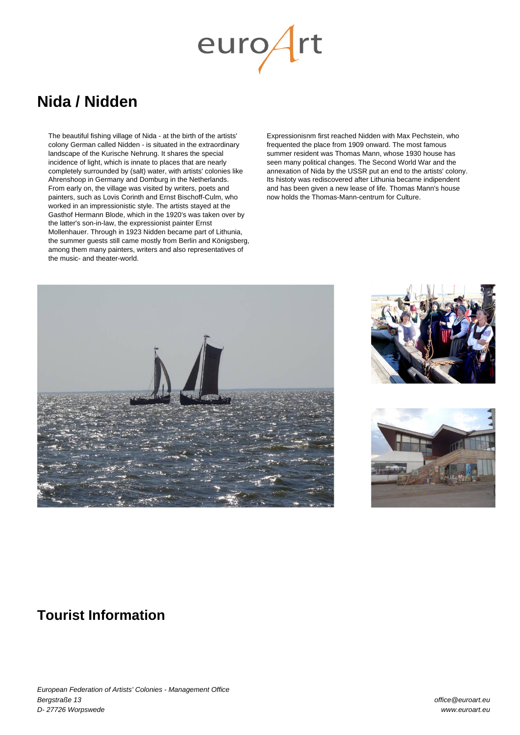# $euro/$

## **Nida / Nidden**

The beautiful fishing village of Nida - at the birth of the artists' colony German called Nidden - is situated in the extraordinary landscape of the Kurische Nehrung. It shares the special incidence of light, which is innate to places that are nearly completely surrounded by (salt) water, with artists' colonies like Ahrenshoop in Germany and Domburg in the Netherlands. From early on, the village was visited by writers, poets and painters, such as Lovis Corinth and Ernst Bischoff-Culm, who worked in an impressionistic style. The artists stayed at the Gasthof Hermann Blode, which in the 1920's was taken over by the latter's son-in-law, the expressionist painter Ernst Mollenhauer. Through in 1923 Nidden became part of Lithunia, the summer guests still came mostly from Berlin and Königsberg, among them many painters, writers and also representatives of the music- and theater-world.

Expressionisnm first reached Nidden with Max Pechstein, who frequented the place from 1909 onward. The most famous summer resident was Thomas Mann, whose 1930 house has seen many political changes. The Second World War and the annexation of Nida by the USSR put an end to the artists' colony. Its histoty was rediscovered after Lithunia became indipendent and has been given a new lease of life. Thomas Mann's house now holds the Thomas-Mann-centrum for Culture.







## **Tourist Information**